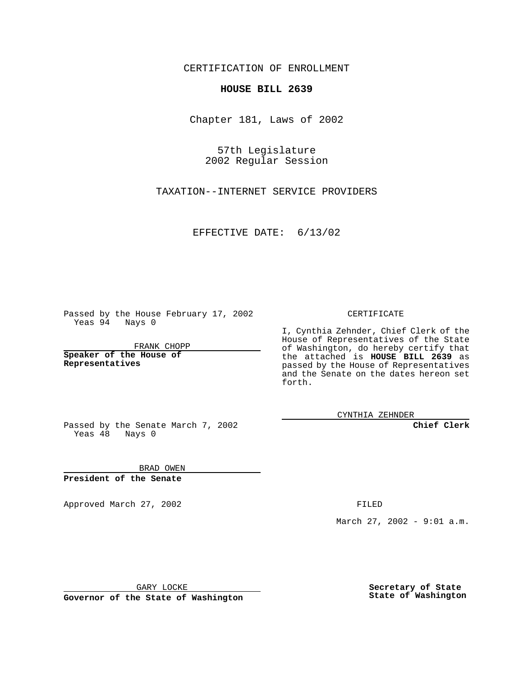CERTIFICATION OF ENROLLMENT

## **HOUSE BILL 2639**

Chapter 181, Laws of 2002

57th Legislature 2002 Regular Session

TAXATION--INTERNET SERVICE PROVIDERS

EFFECTIVE DATE: 6/13/02

Passed by the House February 17, 2002 Yeas 94 Nays 0

FRANK CHOPP

**Speaker of the House of Representatives**

CERTIFICATE

I, Cynthia Zehnder, Chief Clerk of the House of Representatives of the State of Washington, do hereby certify that the attached is **HOUSE BILL 2639** as passed by the House of Representatives and the Senate on the dates hereon set forth.

CYNTHIA ZEHNDER

**Chief Clerk**

Passed by the Senate March 7, 2002 Yeas  $48$  Nays 0

BRAD OWEN **President of the Senate**

Approved March 27, 2002 **FILED** 

March 27, 2002 - 9:01 a.m.

GARY LOCKE

**Governor of the State of Washington**

**Secretary of State State of Washington**